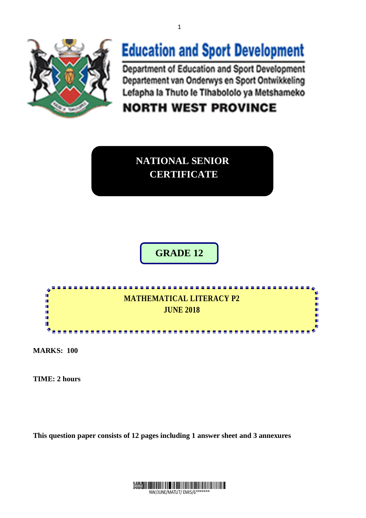

# **Education and Sport Development**

Department of Education and Sport Development Departement van Onderwys en Sport Ontwikkeling Lefapha la Thuto le Tihabololo ya Metshameko

**NORTH WEST PROVINCE** 

**NATIONAL SENIOR CERTIFICATE**

**GRADE 12**



**MARKS: 100**

**TIME: 2 hours**

**This question paper consists of 12 pages including 1 answer sheet and 3 annexures** 



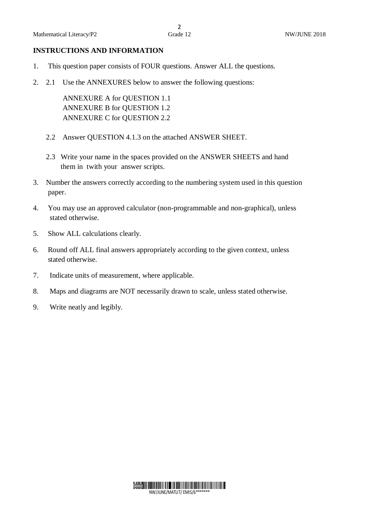#### **INSTRUCTIONS AND INFORMATION**

- 1. This question paper consists of FOUR questions. Answer ALL the questions.
- 2. 2.1 Use the ANNEXURES below to answer the following questions:

 ANNEXURE A for QUESTION 1.1 ANNEXURE B for QUESTION 1.2 ANNEXURE C for QUESTION 2.2

- 2.2 Answer QUESTION 4.1.3 on the attached ANSWER SHEET.
- 2.3 Write your name in the spaces provided on the ANSWER SHEETS and hand them in twith your answer scripts.
- 3. Number the answers correctly according to the numbering system used in this question paper.
- 4. You may use an approved calculator (non-programmable and non-graphical), unless stated otherwise.
- 5. Show ALL calculations clearly.
- 6. Round off ALL final answers appropriately according to the given context, unless stated otherwise.
- 7. Indicate units of measurement, where applicable.
- 8. Maps and diagrams are NOT necessarily drawn to scale, unless stated otherwise.
- 9. Write neatly and legibly.

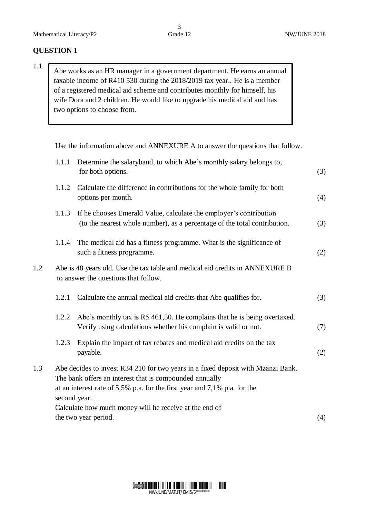### **QUESTION 1**

1.1 Abe works as an HR manager in a government department. He earns an annual taxable income of R410 530 during the 2018/2019 tax year.. He is a member of a registered medical aid scheme and contributes monthly for himself, his wife Dora and 2 children. He would like to upgrade his medical aid and has two options to choose from.

Use the information above and ANNEXURE A to answer the questions that follow.

|     | 1.1.1                                                                                                                | Determine the salaryband, to which Abe's monthly salary belongs to,<br>for both options.                                                                                                                                                    | (3) |  |  |
|-----|----------------------------------------------------------------------------------------------------------------------|---------------------------------------------------------------------------------------------------------------------------------------------------------------------------------------------------------------------------------------------|-----|--|--|
|     | 1.1.2                                                                                                                | Calculate the difference in contributions for the whole family for both<br>options per month.                                                                                                                                               | (4) |  |  |
|     | 1.1.3                                                                                                                | If he chooses Emerald Value, calculate the employer's contribution<br>(to the nearest whole number), as a percentage of the total contribution.                                                                                             | (3) |  |  |
|     | 1.1.4                                                                                                                | The medical aid has a fitness programme. What is the significance of<br>such a fitness programme.                                                                                                                                           | (2) |  |  |
| 1.2 | Abe is 48 years old. Use the tax table and medical aid credits in ANNEXURE B<br>to answer the questions that follow. |                                                                                                                                                                                                                                             |     |  |  |
|     | 1.2.1                                                                                                                | Calculate the annual medical aid credits that Abe qualifies for.                                                                                                                                                                            | (3) |  |  |
|     | 1.2.2                                                                                                                | Abe's monthly tax is R5 461,50. He complains that he is being overtaxed.<br>Verify using calculations whether his complain is valid or not.                                                                                                 | (7) |  |  |
|     | 1.2.3                                                                                                                | Explain the impact of tax rebates and medical aid credits on the tax<br>payable.                                                                                                                                                            | (2) |  |  |
| 1.3 |                                                                                                                      | Abe decides to invest R34 210 for two years in a fixed deposit with Mzanzi Bank.<br>The bank offers an interest that is compounded annually<br>at an interest rate of $5,5\%$ p.a. for the first year and 7,1% p.a. for the<br>second year. |     |  |  |
|     |                                                                                                                      | Calculate how much money will he receive at the end of<br>the two year period.                                                                                                                                                              | (4) |  |  |

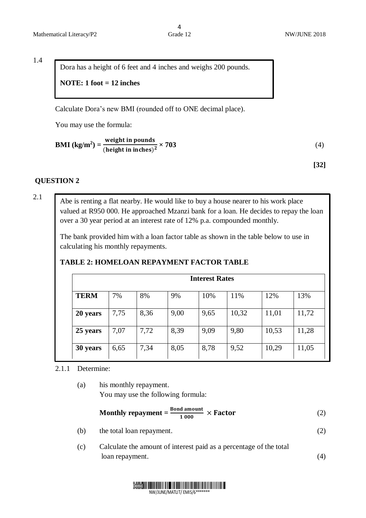$\frac{4}{3}$  Grade 12

1.4

Dora has a height of 6 feet and 4 inches and weighs 200 pounds.

### **NOTE: 1 foot = 12 inches**

Calculate Dora's new BMI (rounded off to ONE decimal place). **NOTE :1 foot = 12 inches**

You may use the formula:

$$
BMI (kg/m2) = \frac{weight in pounds}{(height in inches)2} \times 703
$$
 (4)

**[32]**

#### **QUESTION 2**

Abe is renting a flat nearby. He would like to buy a house nearer to his work place valued at R950 000. He approached Mzanzi bank for a loan. He decides to repay the loan over a 30 year period at an interest rate of 12% p.a. compounded monthly.

The bank provided him with a loan factor table as shown in the table below to use in calculating his monthly repayments.

# **TABLE 2: HOMELOAN REPAYMENT FACTOR TABLE**

| <b>Interest Rates</b> |      |      |      |      |       |       |       |
|-----------------------|------|------|------|------|-------|-------|-------|
| <b>TERM</b>           | 7%   | 8%   | 9%   | 10%  | 11%   | 12%   | 13%   |
| 20 years              | 7,75 | 8,36 | 9,00 | 9,65 | 10,32 | 11,01 | 11,72 |
| 25 years              | 7,07 | 7,72 | 8,39 | 9,09 | 9,80  | 10,53 | 11,28 |
| 30 years              | 6,65 | 7,34 | 8,05 | 8,78 | 9,52  | 10,29 | 11,05 |

2.1.1 Determine:

(a) his monthly repayment. You may use the following formula:

$$
Monthly repayment = \frac{Bond amount}{1000} \times Factor
$$
 (2)

(b) the total loan repayment. (2)

(c) Calculate the amount of interest paid as a percentage of the total loan repayment. (4)



2.1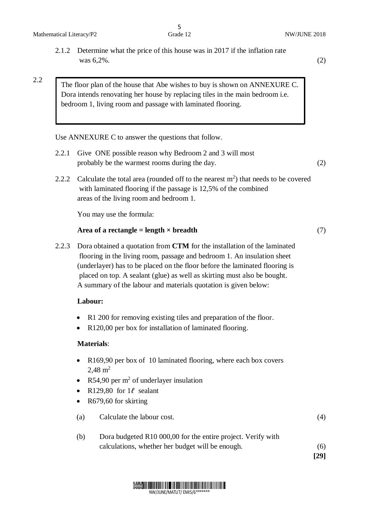2.2

The floor plan of the house that Abe wishes to buy is shown on ANNEXURE C. Dora intends renovating her house by replacing tiles in the main bedroom i.e. bedroom 1, living room and passage with laminated flooring.

Use ANNEXURE C to answer the questions that follow.

- 2.2.1 Give ONE possible reason why Bedroom 2 and 3 will most probably be the warmest rooms during the day. (2)
- 2.2.2 Calculate the total area (rounded off to the nearest  $m<sup>2</sup>$ ) that needs to be covered with laminated flooring if the passage is 12,5% of the combined areas of the living room and bedroom 1.

You may use the formula:

#### Area of a rectangle = length  $\times$  breadth (7)

2.2.3 Dora obtained a quotation from **CTM** for the installation of the laminated flooring in the living room, passage and bedroom 1. An insulation sheet (underlayer) has to be placed on the floor before the laminated flooring is placed on top. A sealant (glue) as well as skirting must also be bought. A summary of the labour and materials quotation is given below:

#### **Labour:**

- R1 200 for removing existing tiles and preparation of the floor.
- R120,00 per box for installation of laminated flooring.

#### **Materials**:

- R169,90 per box of 10 laminated flooring, where each box covers  $2.48 \text{ m}^2$
- R54,90 per  $m^2$  of underlayer insulation
- R129,80 for  $1\ell$  sealant
- R679,60 for skirting
- (a) Calculate the labour cost. (4)

| Dora budgeted R10 000,00 for the entire project. Verify with |      |
|--------------------------------------------------------------|------|
| calculations, whether her budget will be enough.             | (6)  |
|                                                              | [29] |

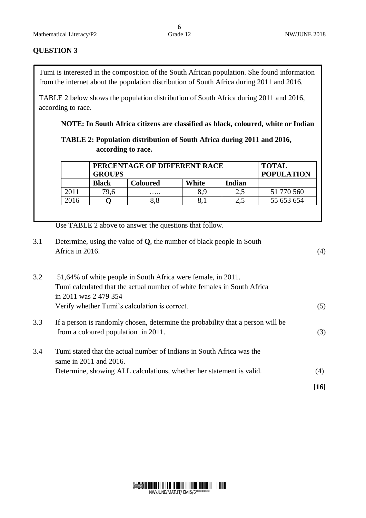#### **QUESTION 3**

Tumi is interested in the composition of the South African population. She found information from the internet about the population distribution of South Africa during 2011 and 2016.

TABLE 2 below shows the population distribution of South Africa during 2011 and 2016, according to race.

#### **NOTE: In South Africa citizens are classified as black, coloured, white or Indian**

# **TABLE 2: Population distribution of South Africa during 2011 and 2016, according to race.**

|      | PERCENTAGE OF DIFFERENT RACE<br><b>GROUPS</b> | <b>TOTAL</b><br><b>POPULATION</b> |       |        |            |
|------|-----------------------------------------------|-----------------------------------|-------|--------|------------|
|      | <b>Black</b>                                  | Coloured                          | White | Indian |            |
| 2011 | 79,6                                          | .                                 | 8,9   |        | 51 770 560 |
| 2016 |                                               |                                   |       |        | 55 653 654 |

Use TABLE 2 above to answer the questions that follow.

3.1 Determine, using the value of **Q**, the number of black people in South Africa in 2016.  $(4)$ 

| 3.2 | 51,64% of white people in South Africa were female, in 2011.<br>Tumi calculated that the actual number of white females in South Africa |      |  |  |
|-----|-----------------------------------------------------------------------------------------------------------------------------------------|------|--|--|
|     |                                                                                                                                         |      |  |  |
|     | in 2011 was 2 479 354                                                                                                                   |      |  |  |
|     | Verify whether Tumi's calculation is correct.                                                                                           | (5)  |  |  |
| 3.3 | If a person is randomly chosen, determine the probability that a person will be                                                         |      |  |  |
|     | from a coloured population in 2011.                                                                                                     | (3)  |  |  |
| 3.4 | Tumi stated that the actual number of Indians in South Africa was the                                                                   |      |  |  |
|     | same in 2011 and 2016.                                                                                                                  |      |  |  |
|     | Determine, showing ALL calculations, whether her statement is valid.                                                                    | (4)  |  |  |
|     |                                                                                                                                         | [16] |  |  |

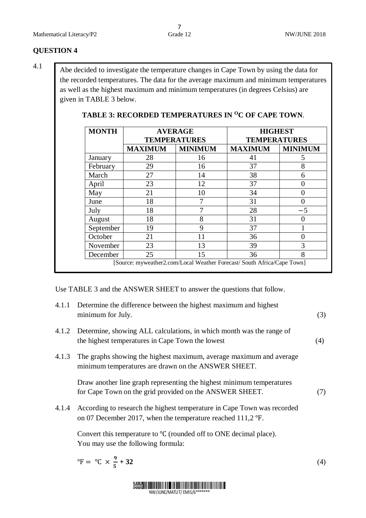### **QUESTION 4**

4.1

Abe decided to investigate the temperature changes in Cape Town by using the data for the recorded temperatures. The data for the average maximum and minimum temperatures as well as the highest maximum and minimum temperatures (in degrees Celsius) are given in TABLE 3 below.

| <b>MONTH</b> | <b>AVERAGE</b> |                     | <b>HIGHEST</b><br><b>TEMPERATURES</b> |                |  |
|--------------|----------------|---------------------|---------------------------------------|----------------|--|
|              |                | <b>TEMPERATURES</b> |                                       |                |  |
|              | <b>MAXIMUM</b> | <b>MINIMUM</b>      | <b>MAXIMUM</b>                        | <b>MINIMUM</b> |  |
| January      | 28             | 16                  | 41                                    | 5              |  |
| February     | 29             | 16                  | 37                                    | 8              |  |
| March        | 27             | 14                  | 38                                    | 6              |  |
| April        | 23             | 12                  | 37                                    | $\Omega$       |  |
| May          | 21             | 10                  | 34                                    | 0              |  |
| June         | 18             |                     | 31                                    | 0              |  |
| July         | 18             | 7                   | 28                                    | $-5$           |  |
| August       | 18             | 8                   | 31                                    | 0              |  |
| September    | 19             | 9                   | 37                                    |                |  |
| October      | 21             | 11                  | 36                                    | 0              |  |
| November     | 23             | 13                  | 39                                    | 3              |  |
| December     | 25             | 15                  | 36                                    | 8              |  |

# TABLE 3: RECORDED TEMPERATURES IN <sup>O</sup>C OF CAPE TOWN.

Use TABLE 3 and the ANSWER SHEET to answer the questions that follow.

| 4.1.1 | Determine the difference between the highest maximum and highest<br>minimum for July.                                                        | (3)              |
|-------|----------------------------------------------------------------------------------------------------------------------------------------------|------------------|
| 4.1.2 | Determine, showing ALL calculations, in which month was the range of<br>the highest temperatures in Cape Town the lowest                     | (4)              |
| 4.1.3 | The graphs showing the highest maximum, average maximum and average<br>minimum temperatures are drawn on the ANSWER SHEET.                   |                  |
|       | Draw another line graph representing the highest minimum temperatures<br>for Cape Town on the grid provided on the ANSWER SHEET.             | (7)              |
|       | 4.1.4 According to research the highest temperature in Cape Town was recorded<br>on 07 December 2017, when the temperature reached 111,2 °F. |                  |
|       | Convert this temperature to $\mathrm{C}$ (rounded off to ONE decimal place).<br>You may use the following formula:                           |                  |
|       | ${}^{\circ}F = {}^{\circ}C \times \frac{9}{4} + 32$                                                                                          | $\left(4\right)$ |

$$
= {}^{\circ}C \times \frac{9}{5} + 32 \tag{4}
$$

NW/JUNE/MATLIT/ EMIS/6\*\*\*\*\*\*\*

Demo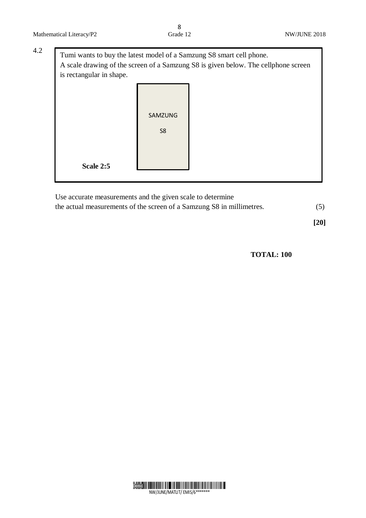| is rectangular in shape. | Tumi wants to buy the latest model of a Samzung S8 smart cell phone.<br>A scale drawing of the screen of a Samzung S8 is given below. The cellphone screen |  |  |  |  |
|--------------------------|------------------------------------------------------------------------------------------------------------------------------------------------------------|--|--|--|--|
|                          | SAMZUNG<br>S <sub>8</sub>                                                                                                                                  |  |  |  |  |
| Scale 2:5                |                                                                                                                                                            |  |  |  |  |

Use accurate measurements and the given scale to determine the actual measurements of the screen of a Samzung S8 in millimetres. (5)

**[20]**

 **TOTAL: 100**

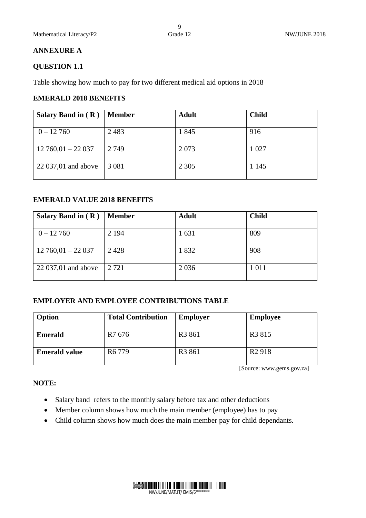#### **ANNEXURE A**

#### **QUESTION 1.1**

Table showing how much to pay for two different medical aid options in 2018

#### **EMERALD 2018 BENEFITS**

| Salary Band in $(R)$   | <b>Member</b> | <b>Adult</b> | <b>Child</b> |
|------------------------|---------------|--------------|--------------|
|                        |               |              |              |
| $0 - 12,760$           | 2 4 8 3       | 1845         | 916          |
|                        |               |              |              |
| $12\,760,01 - 22\,037$ | 2 7 4 9       | 2073         | 1 0 27       |
|                        |               |              |              |
| 22 037,01 and above    | 3 0 8 1       | 2 3 0 5      | 1 1 4 5      |
|                        |               |              |              |

### **EMERALD VALUE 2018 BENEFITS**

| Salary Band in $(R)$   | <b>Member</b> | <b>Adult</b> | <b>Child</b> |
|------------------------|---------------|--------------|--------------|
| $0 - 12760$            | 2 1 9 4       | 1 631        | 809          |
| $12\,760,01 - 22\,037$ | 2428          | 1832         | 908          |
| 22 037,01 and above    | 2 7 2 1       | 2 0 3 6      | 1 0 1 1      |

#### **EMPLOYER AND EMPLOYEE CONTRIBUTIONS TABLE**

| Option               | <b>Total Contribution</b> | <b>Employer</b>    | <b>Employee</b>    |
|----------------------|---------------------------|--------------------|--------------------|
| <b>Emerald</b>       | R <sub>7</sub> 676        | R <sub>3</sub> 861 | R <sub>3</sub> 815 |
| <b>Emerald value</b> | R <sub>6</sub> 779        | R <sub>3</sub> 861 | R <sub>2</sub> 918 |

[Source: www.gems.gov.za]

# **NOTE:**

- Salary band refers to the monthly salary before tax and other deductions
- Member column shows how much the main member (employee) has to pay
- Child column shows how much does the main member pay for child dependants.

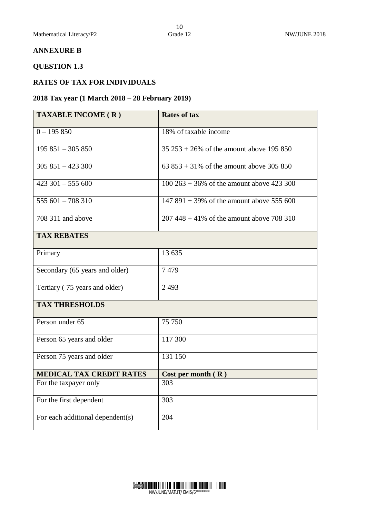#### **ANNEXURE B**

# **QUESTION 1.3**

#### **RATES OF TAX FOR INDIVIDUALS**

#### **2018 Tax year (1 March 2018 – 28 February 2019)**

| <b>TAXABLE INCOME (R)</b>        | <b>Rates of tax</b>                           |
|----------------------------------|-----------------------------------------------|
| $0 - 195850$                     | 18% of taxable income                         |
| $195851 - 305850$                | $35\,253 + 26\%$ of the amount above 195 850  |
| $305851 - 423300$                | 63 $853 + 31\%$ of the amount above 305 850   |
| $423301 - 555600$                | $100\,263 + 36\%$ of the amount above 423 300 |
| 555 601 - 708 310                | $147891 + 39\%$ of the amount above 555 600   |
| 708 311 and above                | $207448 + 41\%$ of the amount above 708 310   |
| <b>TAX REBATES</b>               |                                               |
| Primary                          | 13 635                                        |
| Secondary (65 years and older)   | 7479                                          |
| Tertiary (75 years and older)    | 2 4 9 3                                       |
| <b>TAX THRESHOLDS</b>            |                                               |
| Person under 65                  | 75 750                                        |
| Person 65 years and older        | 117 300                                       |
| Person 75 years and older        | 131 150                                       |
| <b>MEDICAL TAX CREDIT RATES</b>  | Cost per month $(R)$                          |
| For the taxpayer only            | 303                                           |
| For the first dependent          | $\overline{3}03$                              |
| For each additional dependent(s) | 204                                           |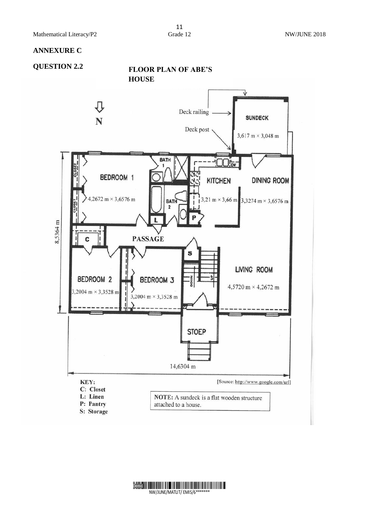#### **ANNEXURE C**

# **QUESTION 2.2 FLOOR PLAN OF ABE'S HOUSE**